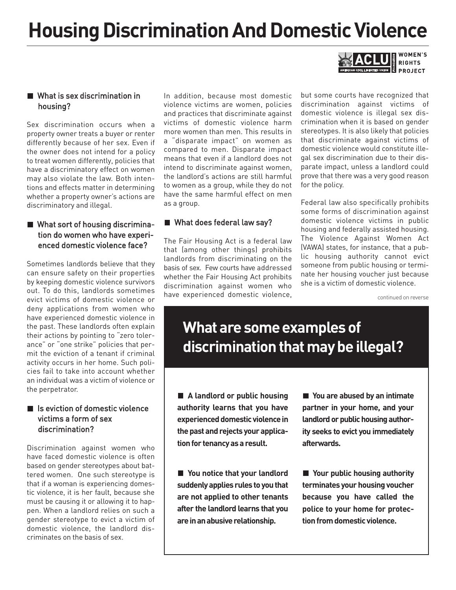# **Housing Discrimination And Domestic Violence**



#### What is sex discrimination in housing?

Sex discrimination occurs when a property owner treats a buyer or renter differently because of her sex. Even if the owner does not intend for a policy to treat women differently, policies that have a discriminatory effect on women may also violate the law. Both intentions and effects matter in determining whether a property owner's actions are discriminatory and illegal.

#### ■ What sort of housing discrimination do women who have experienced domestic violence face?

Sometimes landlords believe that they can ensure safety on their properties by keeping domestic violence survivors out. To do this, landlords sometimes evict victims of domestic violence or deny applications from women who have experienced domestic violence in the past. These landlords often explain their actions by pointing to "zero tolerance" or "one strike" policies that permit the eviction of a tenant if criminal activity occurs in her home. Such policies fail to take into account whether an individual was a victim of violence or the perpetrator.

#### $\blacksquare$  Is eviction of domestic violence victims a form of sex discrimination?

Discrimination against women who have faced domestic violence is often based on gender stereotypes about battered women. One such stereotype is that if a woman is experiencing domestic violence, it is her fault, because she must be causing it or allowing it to happen. When a landlord relies on such a gender stereotype to evict a victim of domestic violence, the landlord discriminates on the basis of sex.

In addition, because most domestic violence victims are women, policies and practices that discriminate against victims of domestic violence harm more women than men. This results in a "disparate impact" on women as compared to men. Disparate impact means that even if a landlord does not intend to discriminate against women, the landlord's actions are still harmful to women as a group, while they do not have the same harmful effect on men as a group.

#### What does federal law say?

The Fair Housing Act is a federal law that (among other things) prohibits landlords from discriminating on the basis of sex. Few courts have addressed whether the Fair Housing Act prohibits discrimination against women who have experienced domestic violence, but some courts have recognized that discrimination against victims of domestic violence is illegal sex discrimination when it is based on gender stereotypes. It is also likely that policies that discriminate against victims of domestic violence would constitute illegal sex discrimination due to their disparate impact, unless a landlord could prove that there was a very good reason for the policy.

Federal law also specifically prohibits some forms of discrimination against domestic violence victims in public housing and federally assisted housing. The Violence Against Women Act (VAWA) states, for instance, that a public housing authority cannot evict someone from public housing or terminate her housing voucher just because she is a victim of domestic violence.

continued on reverse

## **What are some examples of discrimination that may be illegal?**

**A landlord or public housing authority learns that you have experienced domestic violence in the past and rejects your application for tenancy as a result.**

**You notice that your landlord suddenly applies rules to you that are not applied to other tenants after the landlord learns that you are in an abusive relationship.**

**You are abused by an intimate partner in your home, and your landlord or public housing authority seeks to evict you immediately afterwards.**

**Your public housing authority terminates your housing voucher because you have called the police to your home for protection from domestic violence.**